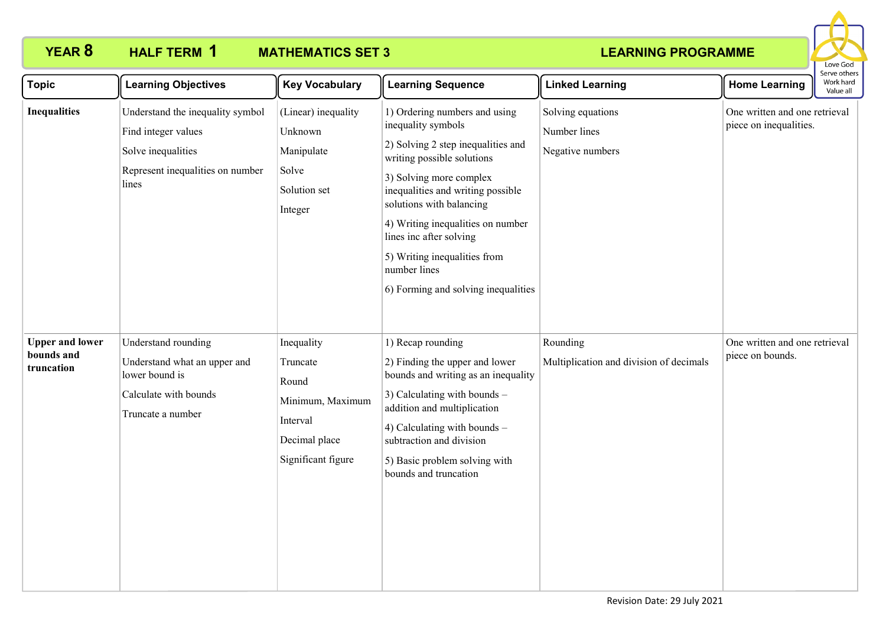

| <b>Topic</b>                                       | <b>Learning Objectives</b>                                                                                                 | <b>Key Vocabulary</b>                                                                                  | <b>Learning Sequence</b>                                                                                                                                                                                                                                                                                                                                                   | <b>Linked Learning</b>                                | <b>Home Learning</b>                                    | Serve others<br>Work hard<br>Value all |
|----------------------------------------------------|----------------------------------------------------------------------------------------------------------------------------|--------------------------------------------------------------------------------------------------------|----------------------------------------------------------------------------------------------------------------------------------------------------------------------------------------------------------------------------------------------------------------------------------------------------------------------------------------------------------------------------|-------------------------------------------------------|---------------------------------------------------------|----------------------------------------|
| <b>Inequalities</b>                                | Understand the inequality symbol<br>Find integer values<br>Solve inequalities<br>Represent inequalities on number<br>lines | (Linear) inequality<br>Unknown<br>Manipulate<br>Solve<br>Solution set<br>Integer                       | 1) Ordering numbers and using<br>inequality symbols<br>2) Solving 2 step inequalities and<br>writing possible solutions<br>3) Solving more complex<br>inequalities and writing possible<br>solutions with balancing<br>4) Writing inequalities on number<br>lines inc after solving<br>5) Writing inequalities from<br>number lines<br>6) Forming and solving inequalities | Solving equations<br>Number lines<br>Negative numbers | One written and one retrieval<br>piece on inequalities. |                                        |
| <b>Upper and lower</b><br>bounds and<br>truncation | Understand rounding<br>Understand what an upper and<br>lower bound is<br>Calculate with bounds<br>Truncate a number        | Inequality<br>Truncate<br>Round<br>Minimum, Maximum<br>Interval<br>Decimal place<br>Significant figure | 1) Recap rounding<br>2) Finding the upper and lower<br>bounds and writing as an inequality<br>3) Calculating with bounds -<br>addition and multiplication<br>4) Calculating with bounds -<br>subtraction and division<br>5) Basic problem solving with<br>bounds and truncation                                                                                            | Rounding<br>Multiplication and division of decimals   | One written and one retrieval<br>piece on bounds.       |                                        |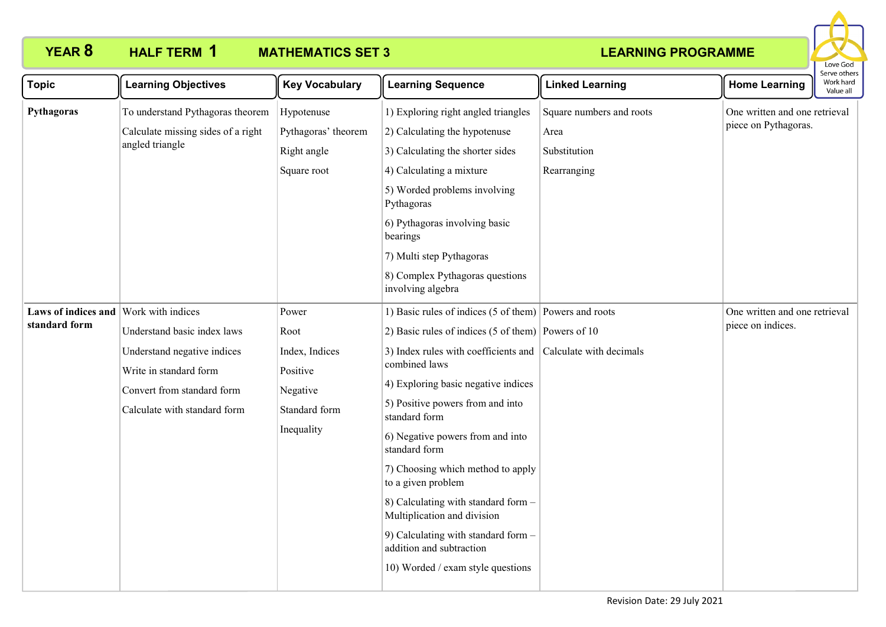

| <b>Topic</b>                                           | <b>Learning Objectives</b>                                                                                                                         | <b>Key Vocabulary</b>                                                                  | <b>Learning Sequence</b>                                                                                                                                                                                                                                                                                                                                                                                                                                                                                                                                        | <b>Linked Learning</b>                                          | <b>Home Learning</b>                                  | serve other:<br>Work hard<br>Value all |
|--------------------------------------------------------|----------------------------------------------------------------------------------------------------------------------------------------------------|----------------------------------------------------------------------------------------|-----------------------------------------------------------------------------------------------------------------------------------------------------------------------------------------------------------------------------------------------------------------------------------------------------------------------------------------------------------------------------------------------------------------------------------------------------------------------------------------------------------------------------------------------------------------|-----------------------------------------------------------------|-------------------------------------------------------|----------------------------------------|
| Pythagoras                                             | To understand Pythagoras theorem<br>Calculate missing sides of a right<br>angled triangle                                                          | Hypotenuse<br>Pythagoras' theorem<br>Right angle<br>Square root                        | 1) Exploring right angled triangles<br>2) Calculating the hypotenuse<br>3) Calculating the shorter sides<br>4) Calculating a mixture<br>5) Worded problems involving<br>Pythagoras<br>6) Pythagoras involving basic<br>bearings<br>7) Multi step Pythagoras<br>8) Complex Pythagoras questions<br>involving algebra                                                                                                                                                                                                                                             | Square numbers and roots<br>Area<br>Substitution<br>Rearranging | One written and one retrieval<br>piece on Pythagoras. |                                        |
| Laws of indices and Work with indices<br>standard form | Understand basic index laws<br>Understand negative indices<br>Write in standard form<br>Convert from standard form<br>Calculate with standard form | Power<br>Root<br>Index, Indices<br>Positive<br>Negative<br>Standard form<br>Inequality | 1) Basic rules of indices (5 of them) Powers and roots<br>2) Basic rules of indices (5 of them) Powers of 10<br>3) Index rules with coefficients and<br>combined laws<br>4) Exploring basic negative indices<br>5) Positive powers from and into<br>standard form<br>6) Negative powers from and into<br>standard form<br>7) Choosing which method to apply<br>to a given problem<br>8) Calculating with standard form -<br>Multiplication and division<br>9) Calculating with standard form -<br>addition and subtraction<br>10) Worded / exam style questions | Calculate with decimals                                         | One written and one retrieval<br>piece on indices.    |                                        |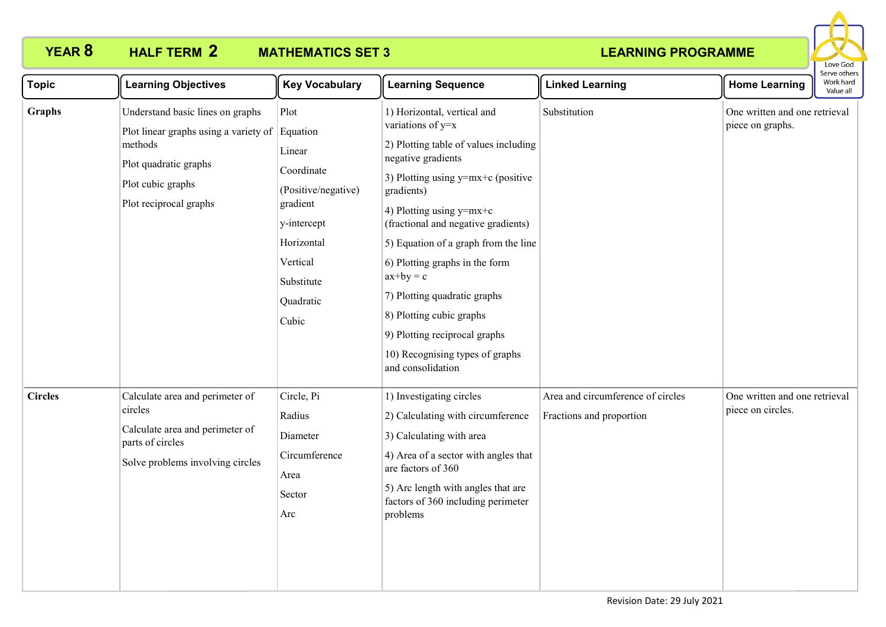

| <b>Topic</b>   | <b>Learning Objectives</b>                                                                                                                                            | <b>Key Vocabulary</b>                                                                                                                        | <b>Learning Sequence</b>                                                                                                                                                                                                                                                                                                                                                                                                                                                                 | <b>Linked Learning</b>                                        | <b>Home Learning</b>                               | יו אר מוורו -<br>Work hard<br>Value all |  |
|----------------|-----------------------------------------------------------------------------------------------------------------------------------------------------------------------|----------------------------------------------------------------------------------------------------------------------------------------------|------------------------------------------------------------------------------------------------------------------------------------------------------------------------------------------------------------------------------------------------------------------------------------------------------------------------------------------------------------------------------------------------------------------------------------------------------------------------------------------|---------------------------------------------------------------|----------------------------------------------------|-----------------------------------------|--|
| Graphs         | Understand basic lines on graphs<br>Plot linear graphs using a variety of Equation<br>methods<br>Plot quadratic graphs<br>Plot cubic graphs<br>Plot reciprocal graphs | Plot<br>Linear<br>Coordinate<br>(Positive/negative)<br>gradient<br>y-intercept<br>Horizontal<br>Vertical<br>Substitute<br>Quadratic<br>Cubic | 1) Horizontal, vertical and<br>variations of y=x<br>2) Plotting table of values including<br>negative gradients<br>3) Plotting using $y=mx+c$ (positive<br>gradients)<br>4) Plotting using $y=mx+c$<br>(fractional and negative gradients)<br>5) Equation of a graph from the line<br>6) Plotting graphs in the form<br>$ax+by = c$<br>7) Plotting quadratic graphs<br>8) Plotting cubic graphs<br>9) Plotting reciprocal graphs<br>10) Recognising types of graphs<br>and consolidation | Substitution                                                  | One written and one retrieval<br>piece on graphs.  |                                         |  |
| <b>Circles</b> | Calculate area and perimeter of<br>circles<br>Calculate area and perimeter of<br>parts of circles<br>Solve problems involving circles                                 | Circle, Pi<br>Radius<br>Diameter<br>Circumference<br>Area<br>Sector<br>Arc                                                                   | 1) Investigating circles<br>2) Calculating with circumference<br>3) Calculating with area<br>4) Area of a sector with angles that<br>are factors of 360<br>5) Arc length with angles that are<br>factors of 360 including perimeter<br>problems                                                                                                                                                                                                                                          | Area and circumference of circles<br>Fractions and proportion | One written and one retrieval<br>piece on circles. |                                         |  |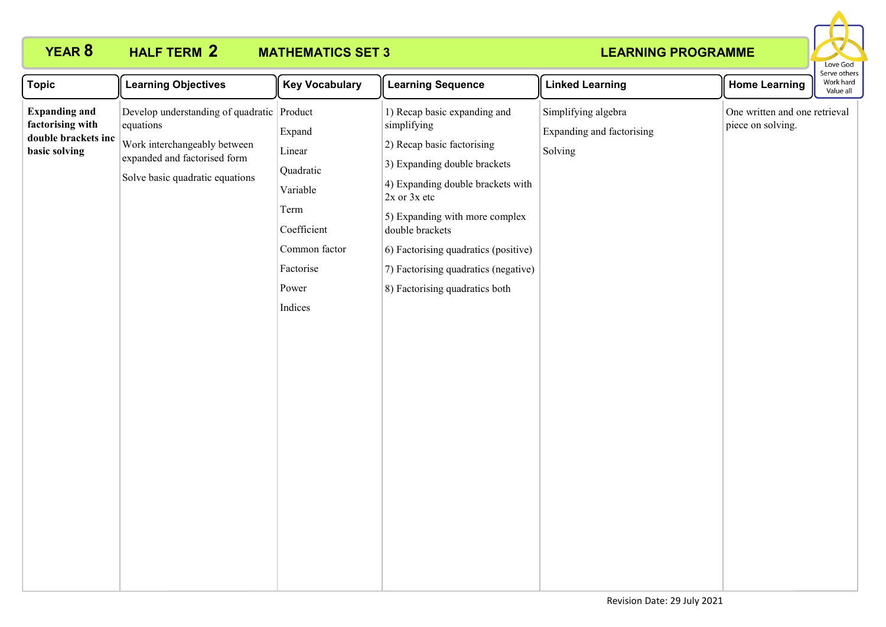

| <b>Topic</b>                                                                     | <b>Learning Objectives</b>                                                                                                                                 | <b>Key Vocabulary</b>                                                                                              | <b>Learning Sequence</b>                                                                                                                                                                                                                                                                                                                  | <b>Linked Learning</b>                                      | <b>Home Learning</b>                               | serve otriers<br>Work hard<br>Value all |
|----------------------------------------------------------------------------------|------------------------------------------------------------------------------------------------------------------------------------------------------------|--------------------------------------------------------------------------------------------------------------------|-------------------------------------------------------------------------------------------------------------------------------------------------------------------------------------------------------------------------------------------------------------------------------------------------------------------------------------------|-------------------------------------------------------------|----------------------------------------------------|-----------------------------------------|
| <b>Expanding and</b><br>factorising with<br>double brackets inc<br>basic solving | Develop understanding of quadratic Product<br>equations<br>Work interchangeably between<br>expanded and factorised form<br>Solve basic quadratic equations | Expand<br>Linear<br>Quadratic<br>Variable<br>Term<br>Coefficient<br>Common factor<br>Factorise<br>Power<br>Indices | 1) Recap basic expanding and<br>simplifying<br>2) Recap basic factorising<br>3) Expanding double brackets<br>4) Expanding double brackets with<br>$2x$ or $3x$ etc<br>5) Expanding with more complex<br>double brackets<br>6) Factorising quadratics (positive)<br>7) Factorising quadratics (negative)<br>8) Factorising quadratics both | Simplifying algebra<br>Expanding and factorising<br>Solving | One written and one retrieval<br>piece on solving. |                                         |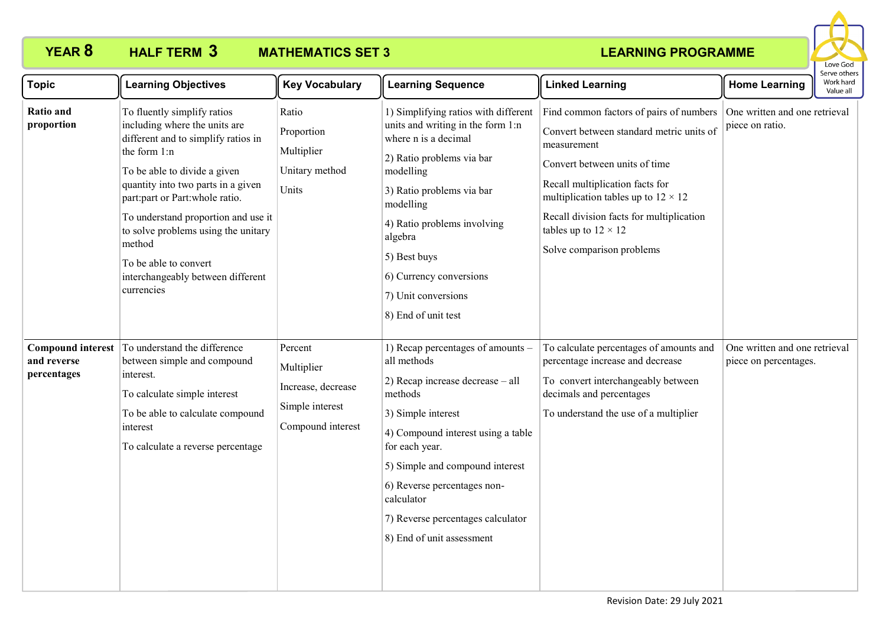

| <b>Topic</b>                                           | <b>Learning Objectives</b>                                                                                                                                                                                                                                                                                                                                                                      | <b>Key Vocabulary</b>                                                               | <b>Learning Sequence</b>                                                                                                                                                                                                                                                                                                        | <b>Linked Learning</b>                                                                                                                                                                                                                                                                                                       | <b>Home Learning</b>                                   | Serve others<br>Work hard<br>Value all |
|--------------------------------------------------------|-------------------------------------------------------------------------------------------------------------------------------------------------------------------------------------------------------------------------------------------------------------------------------------------------------------------------------------------------------------------------------------------------|-------------------------------------------------------------------------------------|---------------------------------------------------------------------------------------------------------------------------------------------------------------------------------------------------------------------------------------------------------------------------------------------------------------------------------|------------------------------------------------------------------------------------------------------------------------------------------------------------------------------------------------------------------------------------------------------------------------------------------------------------------------------|--------------------------------------------------------|----------------------------------------|
| <b>Ratio and</b><br>proportion                         | To fluently simplify ratios<br>including where the units are<br>different and to simplify ratios in<br>the form 1:n<br>To be able to divide a given<br>quantity into two parts in a given<br>part:part or Part:whole ratio.<br>To understand proportion and use it<br>to solve problems using the unitary<br>method<br>To be able to convert<br>interchangeably between different<br>currencies | Ratio<br>Proportion<br>Multiplier<br>Unitary method<br>Units                        | 1) Simplifying ratios with different<br>units and writing in the form 1:n<br>where n is a decimal<br>2) Ratio problems via bar<br>modelling<br>3) Ratio problems via bar<br>modelling<br>4) Ratio problems involving<br>algebra<br>5) Best buys<br>6) Currency conversions<br>7) Unit conversions<br>8) End of unit test        | Find common factors of pairs of numbers<br>Convert between standard metric units of<br>measurement<br>Convert between units of time<br>Recall multiplication facts for<br>multiplication tables up to $12 \times 12$<br>Recall division facts for multiplication<br>tables up to $12 \times 12$<br>Solve comparison problems | One written and one retrieval<br>piece on ratio.       |                                        |
| <b>Compound interest</b><br>and reverse<br>percentages | To understand the difference<br>between simple and compound<br>interest.<br>To calculate simple interest<br>To be able to calculate compound<br>interest<br>To calculate a reverse percentage                                                                                                                                                                                                   | Percent<br>Multiplier<br>Increase, decrease<br>Simple interest<br>Compound interest | 1) Recap percentages of amounts –<br>all methods<br>2) Recap increase decrease - all<br>methods<br>3) Simple interest<br>4) Compound interest using a table<br>for each year.<br>5) Simple and compound interest<br>6) Reverse percentages non-<br>calculator<br>7) Reverse percentages calculator<br>8) End of unit assessment | To calculate percentages of amounts and<br>percentage increase and decrease<br>To convert interchangeably between<br>decimals and percentages<br>To understand the use of a multiplier                                                                                                                                       | One written and one retrieval<br>piece on percentages. |                                        |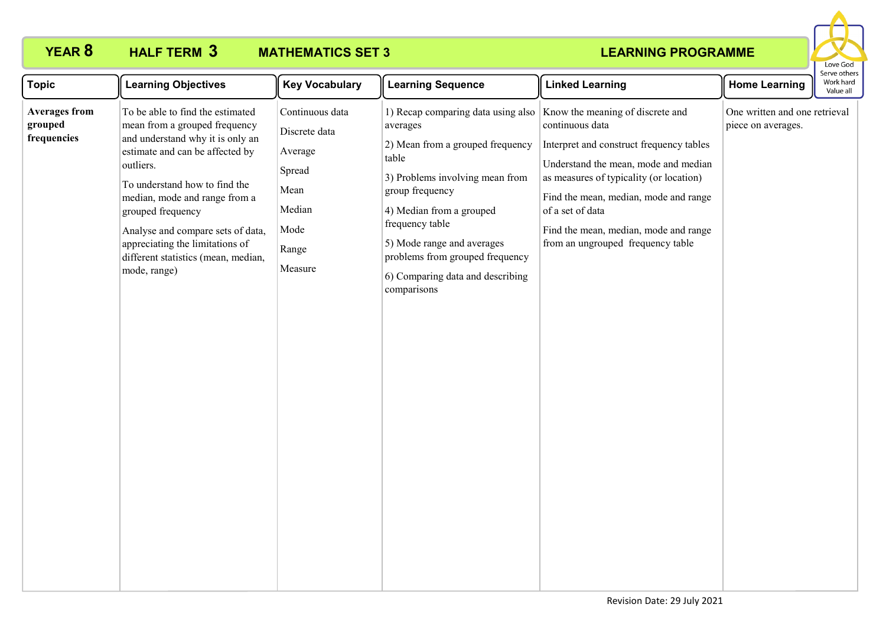

| <b>Topic</b>                                   | <b>Learning Objectives</b>                                                                                                                                                                                                                                                                                                                                                  | <b>Key Vocabulary</b>                                                                               | <b>Learning Sequence</b>                                                                                                                                                                                                                                                                                             | <b>Linked Learning</b>                                                                                                                                                                                                                                                                                                        | <b>Home Learning</b>                                | Serve othe<br>Work hard<br>Value all |
|------------------------------------------------|-----------------------------------------------------------------------------------------------------------------------------------------------------------------------------------------------------------------------------------------------------------------------------------------------------------------------------------------------------------------------------|-----------------------------------------------------------------------------------------------------|----------------------------------------------------------------------------------------------------------------------------------------------------------------------------------------------------------------------------------------------------------------------------------------------------------------------|-------------------------------------------------------------------------------------------------------------------------------------------------------------------------------------------------------------------------------------------------------------------------------------------------------------------------------|-----------------------------------------------------|--------------------------------------|
| <b>Averages from</b><br>grouped<br>frequencies | To be able to find the estimated<br>mean from a grouped frequency<br>and understand why it is only an<br>estimate and can be affected by<br>outliers.<br>To understand how to find the<br>median, mode and range from a<br>grouped frequency<br>Analyse and compare sets of data,<br>appreciating the limitations of<br>different statistics (mean, median,<br>mode, range) | Continuous data<br>Discrete data<br>Average<br>Spread<br>Mean<br>Median<br>Mode<br>Range<br>Measure | 1) Recap comparing data using also<br>averages<br>2) Mean from a grouped frequency<br>table<br>3) Problems involving mean from<br>group frequency<br>4) Median from a grouped<br>frequency table<br>5) Mode range and averages<br>problems from grouped frequency<br>6) Comparing data and describing<br>comparisons | Know the meaning of discrete and<br>continuous data<br>Interpret and construct frequency tables<br>Understand the mean, mode and median<br>as measures of typicality (or location)<br>Find the mean, median, mode and range<br>of a set of data<br>Find the mean, median, mode and range<br>from an ungrouped frequency table | One written and one retrieval<br>piece on averages. |                                      |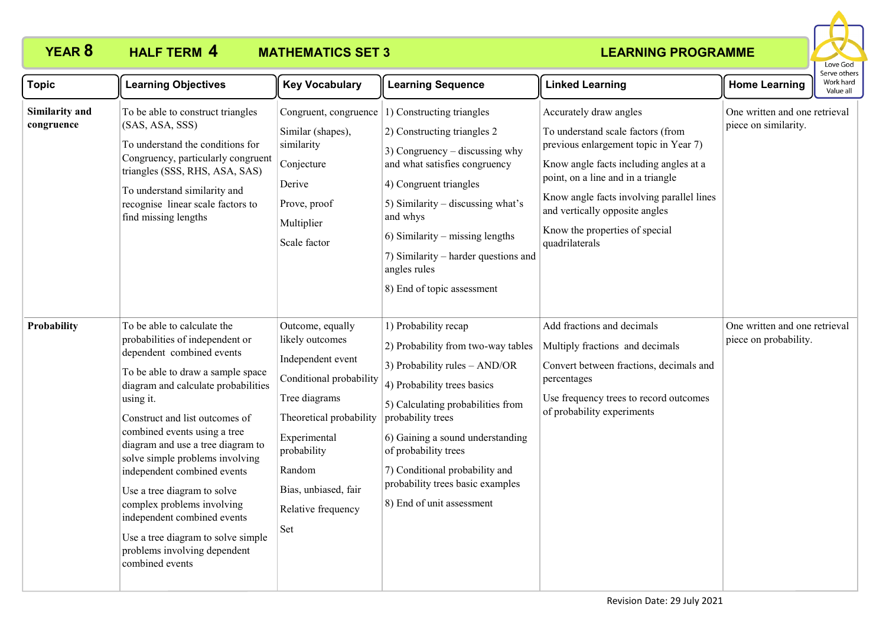

| <b>Topic</b>                 | <b>Learning Objectives</b>                                                                                                                                                                                                                                                                                                                                                                                                                                                                                                                         | <b>Key Vocabulary</b>                                                                                                                                                                                                         | <b>Learning Sequence</b>                                                                                                                                                                                                                                                                                                                                         | <b>Linked Learning</b>                                                                                                                                                                                                                                                                                                  | <b>Home Learning</b>                                   | Work hard<br>Value all |
|------------------------------|----------------------------------------------------------------------------------------------------------------------------------------------------------------------------------------------------------------------------------------------------------------------------------------------------------------------------------------------------------------------------------------------------------------------------------------------------------------------------------------------------------------------------------------------------|-------------------------------------------------------------------------------------------------------------------------------------------------------------------------------------------------------------------------------|------------------------------------------------------------------------------------------------------------------------------------------------------------------------------------------------------------------------------------------------------------------------------------------------------------------------------------------------------------------|-------------------------------------------------------------------------------------------------------------------------------------------------------------------------------------------------------------------------------------------------------------------------------------------------------------------------|--------------------------------------------------------|------------------------|
| Similarity and<br>congruence | To be able to construct triangles<br>(SAS, ASA, SSS)<br>To understand the conditions for<br>Congruency, particularly congruent<br>triangles (SSS, RHS, ASA, SAS)<br>To understand similarity and<br>recognise linear scale factors to<br>find missing lengths                                                                                                                                                                                                                                                                                      | Similar (shapes),<br>similarity<br>Conjecture<br>Derive<br>Prove, proof<br>Multiplier<br>Scale factor                                                                                                                         | Congruent, congruence $ 1\rangle$ Constructing triangles<br>2) Constructing triangles 2<br>3) Congruency $-$ discussing why<br>and what satisfies congruency<br>4) Congruent triangles<br>5) Similarity - discussing what's<br>and whys<br>6) Similarity – missing lengths<br>7) Similarity – harder questions and<br>angles rules<br>8) End of topic assessment | Accurately draw angles<br>To understand scale factors (from<br>previous enlargement topic in Year 7)<br>Know angle facts including angles at a<br>point, on a line and in a triangle<br>Know angle facts involving parallel lines<br>and vertically opposite angles<br>Know the properties of special<br>quadrilaterals | One written and one retrieval<br>piece on similarity.  |                        |
| Probability                  | To be able to calculate the<br>probabilities of independent or<br>dependent combined events<br>To be able to draw a sample space<br>diagram and calculate probabilities<br>using it.<br>Construct and list outcomes of<br>combined events using a tree<br>diagram and use a tree diagram to<br>solve simple problems involving<br>independent combined events<br>Use a tree diagram to solve<br>complex problems involving<br>independent combined events<br>Use a tree diagram to solve simple<br>problems involving dependent<br>combined events | Outcome, equally<br>likely outcomes<br>Independent event<br>Conditional probability<br>Tree diagrams<br>Theoretical probability<br>Experimental<br>probability<br>Random<br>Bias, unbiased, fair<br>Relative frequency<br>Set | 1) Probability recap<br>2) Probability from two-way tables<br>3) Probability rules - AND/OR<br>4) Probability trees basics<br>5) Calculating probabilities from<br>probability trees<br>6) Gaining a sound understanding<br>of probability trees<br>7) Conditional probability and<br>probability trees basic examples<br>8) End of unit assessment              | Add fractions and decimals<br>Multiply fractions and decimals<br>Convert between fractions, decimals and<br>percentages<br>Use frequency trees to record outcomes<br>of probability experiments                                                                                                                         | One written and one retrieval<br>piece on probability. |                        |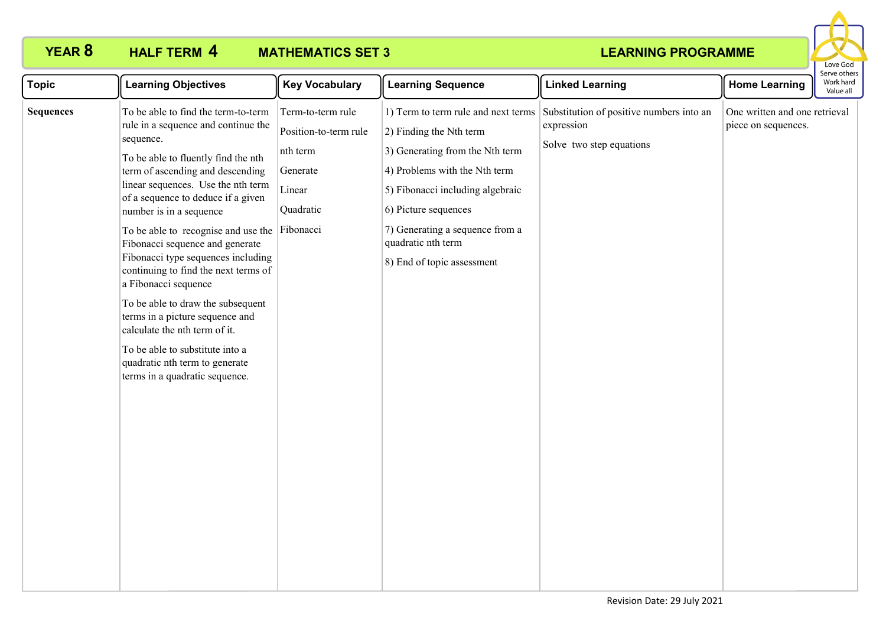

| <b>Topic</b>     | <b>Learning Objectives</b>                                                                                                                                                                                                                                                                                                                                                                                                                                                                                                                                                                                                                                                          | <b>Key Vocabulary</b>                                                                     | <b>Learning Sequence</b>                                                                                                                                                                                                                                                                 | <b>Linked Learning</b>                                                             | <b>Home Learning</b>                                 | <b>CIVE ULIEIS</b><br>Work hard<br>Value all |
|------------------|-------------------------------------------------------------------------------------------------------------------------------------------------------------------------------------------------------------------------------------------------------------------------------------------------------------------------------------------------------------------------------------------------------------------------------------------------------------------------------------------------------------------------------------------------------------------------------------------------------------------------------------------------------------------------------------|-------------------------------------------------------------------------------------------|------------------------------------------------------------------------------------------------------------------------------------------------------------------------------------------------------------------------------------------------------------------------------------------|------------------------------------------------------------------------------------|------------------------------------------------------|----------------------------------------------|
| <b>Sequences</b> | To be able to find the term-to-term<br>rule in a sequence and continue the<br>sequence.<br>To be able to fluently find the nth<br>term of ascending and descending<br>linear sequences. Use the nth term<br>of a sequence to deduce if a given<br>number is in a sequence<br>To be able to recognise and use the Fibonacci<br>Fibonacci sequence and generate<br>Fibonacci type sequences including<br>continuing to find the next terms of<br>a Fibonacci sequence<br>To be able to draw the subsequent<br>terms in a picture sequence and<br>calculate the nth term of it.<br>To be able to substitute into a<br>quadratic nth term to generate<br>terms in a quadratic sequence. | Term-to-term rule<br>Position-to-term rule<br>nth term<br>Generate<br>Linear<br>Quadratic | 1) Term to term rule and next terms<br>$(2)$ Finding the Nth term<br>3) Generating from the Nth term<br>4) Problems with the Nth term<br>5) Fibonacci including algebraic<br>6) Picture sequences<br>7) Generating a sequence from a<br>quadratic nth term<br>8) End of topic assessment | Substitution of positive numbers into an<br>expression<br>Solve two step equations | One written and one retrieval<br>piece on sequences. |                                              |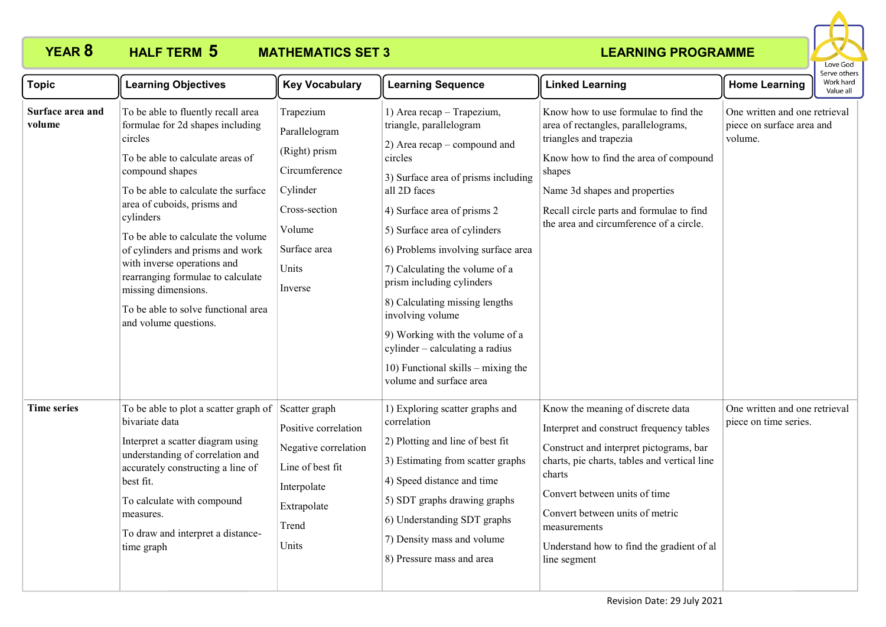

| <b>Topic</b>               | <b>Learning Objectives</b>                                                                                                                                                                                                                                                                                                                                                                                                                                       | <b>Key Vocabulary</b>                                                                                                                   | <b>Learning Sequence</b>                                                                                                                                                                                                                                                                                                                                                                                                                                                                                                   | <b>Linked Learning</b>                                                                                                                                                                                                                                                                                                              | <b>Home Learning</b>                                                  | Serve others<br>Work hard<br>Value all |
|----------------------------|------------------------------------------------------------------------------------------------------------------------------------------------------------------------------------------------------------------------------------------------------------------------------------------------------------------------------------------------------------------------------------------------------------------------------------------------------------------|-----------------------------------------------------------------------------------------------------------------------------------------|----------------------------------------------------------------------------------------------------------------------------------------------------------------------------------------------------------------------------------------------------------------------------------------------------------------------------------------------------------------------------------------------------------------------------------------------------------------------------------------------------------------------------|-------------------------------------------------------------------------------------------------------------------------------------------------------------------------------------------------------------------------------------------------------------------------------------------------------------------------------------|-----------------------------------------------------------------------|----------------------------------------|
| Surface area and<br>volume | To be able to fluently recall area<br>formulae for 2d shapes including<br>circles<br>To be able to calculate areas of<br>compound shapes<br>To be able to calculate the surface<br>area of cuboids, prisms and<br>cylinders<br>To be able to calculate the volume<br>of cylinders and prisms and work<br>with inverse operations and<br>rearranging formulae to calculate<br>missing dimensions.<br>To be able to solve functional area<br>and volume questions. | Trapezium<br>Parallelogram<br>(Right) prism<br>Circumference<br>Cylinder<br>Cross-section<br>Volume<br>Surface area<br>Units<br>Inverse | 1) Area recap - Trapezium,<br>triangle, parallelogram<br>2) Area recap – compound and<br>circles<br>3) Surface area of prisms including<br>all 2D faces<br>4) Surface area of prisms 2<br>5) Surface area of cylinders<br>6) Problems involving surface area<br>7) Calculating the volume of a<br>prism including cylinders<br>8) Calculating missing lengths<br>involving volume<br>9) Working with the volume of a<br>cylinder – calculating a radius<br>10) Functional skills $-$ mixing the<br>volume and surface area | Know how to use formulae to find the<br>area of rectangles, parallelograms,<br>triangles and trapezia<br>Know how to find the area of compound<br>shapes<br>Name 3d shapes and properties<br>Recall circle parts and formulae to find<br>the area and circumference of a circle.                                                    | One written and one retrieval<br>piece on surface area and<br>volume. |                                        |
| <b>Time series</b>         | To be able to plot a scatter graph of<br>bivariate data<br>Interpret a scatter diagram using<br>understanding of correlation and<br>accurately constructing a line of<br>best fit.<br>To calculate with compound<br>measures.<br>To draw and interpret a distance-<br>time graph                                                                                                                                                                                 | Scatter graph<br>Positive correlation<br>Negative correlation<br>Line of best fit<br>Interpolate<br>Extrapolate<br>Trend<br>Units       | 1) Exploring scatter graphs and<br>correlation<br>2) Plotting and line of best fit<br>3) Estimating from scatter graphs<br>4) Speed distance and time<br>5) SDT graphs drawing graphs<br>6) Understanding SDT graphs<br>7) Density mass and volume<br>8) Pressure mass and area                                                                                                                                                                                                                                            | Know the meaning of discrete data<br>Interpret and construct frequency tables<br>Construct and interpret pictograms, bar<br>charts, pie charts, tables and vertical line<br>charts<br>Convert between units of time<br>Convert between units of metric<br>measurements<br>Understand how to find the gradient of al<br>line segment | One written and one retrieval<br>piece on time series.                |                                        |